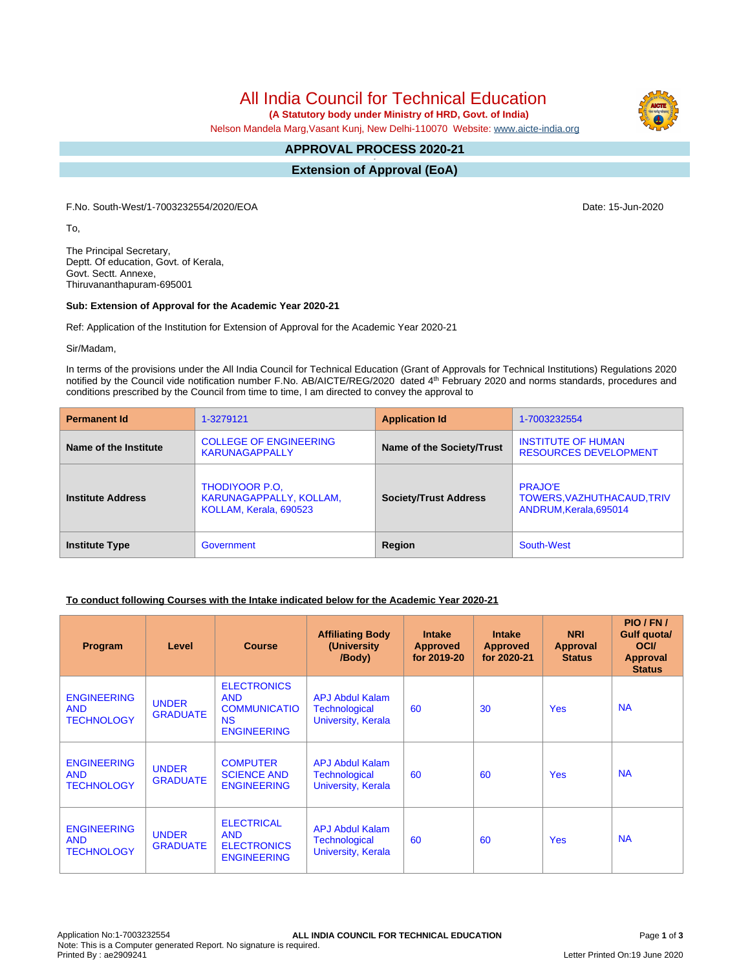# All India Council for Technical Education

 **(A Statutory body under Ministry of HRD, Govt. of India)**

Nelson Mandela Marg,Vasant Kunj, New Delhi-110070 Website: [www.aicte-india.org](http://www.aicte-india.org)

#### **APPROVAL PROCESS 2020-21 -**

**Extension of Approval (EoA)**

F.No. South-West/1-7003232554/2020/EOA Date: 15-Jun-2020

To,

The Principal Secretary, Deptt. Of education, Govt. of Kerala, Govt. Sectt. Annexe, Thiruvananthapuram-695001

#### **Sub: Extension of Approval for the Academic Year 2020-21**

Ref: Application of the Institution for Extension of Approval for the Academic Year 2020-21

Sir/Madam,

In terms of the provisions under the All India Council for Technical Education (Grant of Approvals for Technical Institutions) Regulations 2020 notified by the Council vide notification number F.No. AB/AICTE/REG/2020 dated 4<sup>th</sup> February 2020 and norms standards, procedures and conditions prescribed by the Council from time to time, I am directed to convey the approval to

| <b>Permanent Id</b>      | 1-3279121                                                                  | <b>Application Id</b>        | 1-7003232554                                                           |  |
|--------------------------|----------------------------------------------------------------------------|------------------------------|------------------------------------------------------------------------|--|
| Name of the Institute    | <b>COLLEGE OF ENGINEERING</b><br><b>KARUNAGAPPALLY</b>                     | Name of the Society/Trust    | <b>INSTITUTE OF HUMAN</b><br><b>RESOURCES DEVELOPMENT</b>              |  |
| <b>Institute Address</b> | <b>THODIYOOR P.O.</b><br>KARUNAGAPPALLY, KOLLAM,<br>KOLLAM, Kerala, 690523 | <b>Society/Trust Address</b> | <b>PRAJO'E</b><br>TOWERS, VAZHUTHACAUD, TRIV<br>ANDRUM, Kerala, 695014 |  |
| <b>Institute Type</b>    | Government                                                                 | Region                       | South-West                                                             |  |

### **To conduct following Courses with the Intake indicated below for the Academic Year 2020-21**

| <b>Program</b>                                        | Level                           | <b>Course</b>                                                                              | <b>Affiliating Body</b><br>(University<br>/Body)                     | <b>Intake</b><br><b>Approved</b><br>for 2019-20 | <b>Intake</b><br><b>Approved</b><br>for 2020-21 | <b>NRI</b><br>Approval<br><b>Status</b> | PIO/FN/<br>Gulf quota/<br><b>OCI</b><br><b>Approval</b><br><b>Status</b> |
|-------------------------------------------------------|---------------------------------|--------------------------------------------------------------------------------------------|----------------------------------------------------------------------|-------------------------------------------------|-------------------------------------------------|-----------------------------------------|--------------------------------------------------------------------------|
| <b>ENGINEERING</b><br><b>AND</b><br><b>TECHNOLOGY</b> | <b>UNDER</b><br><b>GRADUATE</b> | <b>ELECTRONICS</b><br><b>AND</b><br><b>COMMUNICATIO</b><br><b>NS</b><br><b>ENGINEERING</b> | <b>APJ Abdul Kalam</b><br><b>Technological</b><br>University, Kerala | 60                                              | 30                                              | <b>Yes</b>                              | <b>NA</b>                                                                |
| <b>ENGINEERING</b><br><b>AND</b><br><b>TECHNOLOGY</b> | <b>UNDER</b><br><b>GRADUATE</b> | <b>COMPUTER</b><br><b>SCIENCE AND</b><br><b>ENGINEERING</b>                                | <b>APJ Abdul Kalam</b><br>Technological<br>University, Kerala        | 60                                              | 60                                              | <b>Yes</b>                              | <b>NA</b>                                                                |
| <b>ENGINEERING</b><br><b>AND</b><br><b>TECHNOLOGY</b> | <b>UNDER</b><br><b>GRADUATE</b> | <b>ELECTRICAL</b><br><b>AND</b><br><b>ELECTRONICS</b><br><b>ENGINEERING</b>                | <b>APJ Abdul Kalam</b><br>Technological<br>University, Kerala        | 60                                              | 60                                              | <b>Yes</b>                              | <b>NA</b>                                                                |

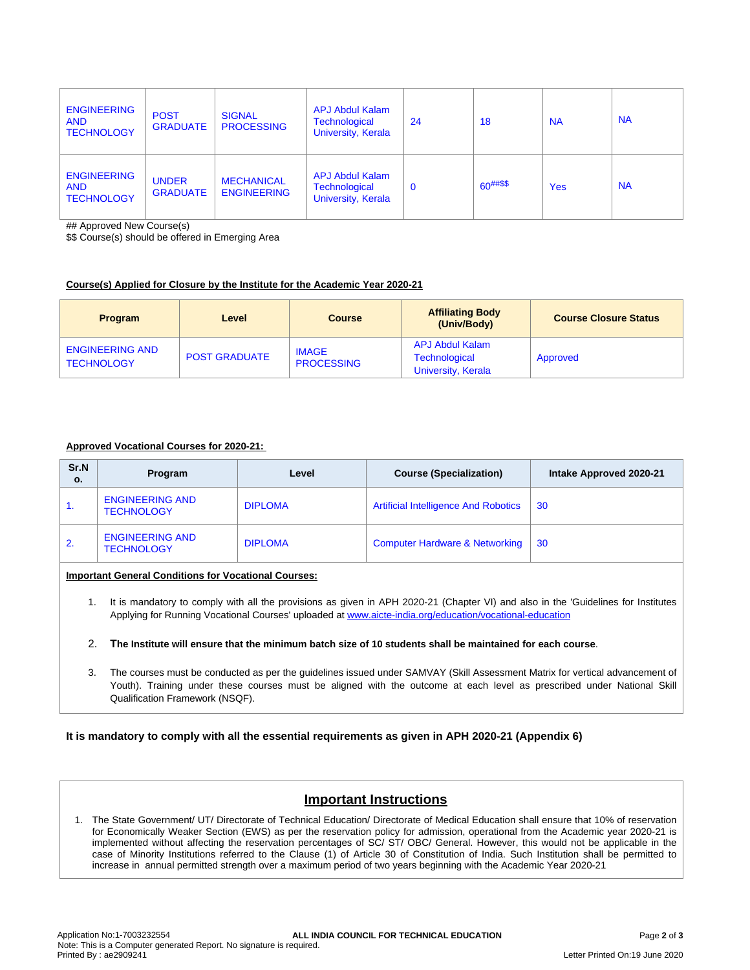| <b>ENGINEERING</b><br><b>AND</b><br><b>TECHNOLOGY</b> | <b>POST</b><br><b>GRADUATE</b>  | <b>SIGNAL</b><br><b>PROCESSING</b>      | <b>APJ Abdul Kalam</b><br><b>Technological</b><br><b>University, Kerala</b> | 24          | 18            | <b>NA</b>  | <b>NA</b> |
|-------------------------------------------------------|---------------------------------|-----------------------------------------|-----------------------------------------------------------------------------|-------------|---------------|------------|-----------|
| <b>ENGINEERING</b><br><b>AND</b><br><b>TECHNOLOGY</b> | <b>UNDER</b><br><b>GRADUATE</b> | <b>MECHANICAL</b><br><b>ENGINEERING</b> | <b>APJ Abdul Kalam</b><br><b>Technological</b><br><b>University, Kerala</b> | $\mathbf 0$ | $60^{##\$\$}$ | <b>Yes</b> | <b>NA</b> |

## Approved New Course(s)

\$\$ Course(s) should be offered in Emerging Area

### **Course(s) Applied for Closure by the Institute for the Academic Year 2020-21**

| <b>Program</b>                              | Level                | <b>Course</b>                     | <b>Affiliating Body</b><br>(Univ/Body)                        | <b>Course Closure Status</b> |
|---------------------------------------------|----------------------|-----------------------------------|---------------------------------------------------------------|------------------------------|
| <b>ENGINEERING AND</b><br><b>TECHNOLOGY</b> | <b>POST GRADUATE</b> | <b>IMAGE</b><br><b>PROCESSING</b> | <b>APJ Abdul Kalam</b><br>Technological<br>University, Kerala | Approved                     |

## **Approved Vocational Courses for 2020-21:**

| Sr.N<br>о. | Program                                     | Level          | <b>Course (Specialization)</b>              | Intake Approved 2020-21 |
|------------|---------------------------------------------|----------------|---------------------------------------------|-------------------------|
| 1.         | <b>ENGINEERING AND</b><br><b>TECHNOLOGY</b> | <b>DIPLOMA</b> | <b>Artificial Intelligence And Robotics</b> | 30                      |
| 2.         | <b>ENGINEERING AND</b><br><b>TECHNOLOGY</b> | <b>DIPLOMA</b> | <b>Computer Hardware &amp; Networking</b>   | 30                      |

## **Important General Conditions for Vocational Courses:**

1. It is mandatory to comply with all the provisions as given in APH 2020-21 (Chapter VI) and also in the 'Guidelines for Institutes Applying for Running Vocational Courses' uploaded at [www.aicte-india.org/education/vocational-education](https://www.aicte-india.org/education/vocational-education)

#### 2. The Institute will ensure that the minimum batch size of 10 students shall be maintained for each course.

3. The courses must be conducted as per the guidelines issued under SAMVAY (Skill Assessment Matrix for vertical advancement of Youth). Training under these courses must be aligned with the outcome at each level as prescribed under National Skill Qualification Framework (NSQF).

### **It is mandatory to comply with all the essential requirements as given in APH 2020-21 (Appendix 6)**

## **Important Instructions**

1. The State Government/ UT/ Directorate of Technical Education/ Directorate of Medical Education shall ensure that 10% of reservation for Economically Weaker Section (EWS) as per the reservation policy for admission, operational from the Academic year 2020-21 is implemented without affecting the reservation percentages of SC/ ST/ OBC/ General. However, this would not be applicable in the case of Minority Institutions referred to the Clause (1) of Article 30 of Constitution of India. Such Institution shall be permitted to increase in annual permitted strength over a maximum period of two years beginning with the Academic Year 2020-21